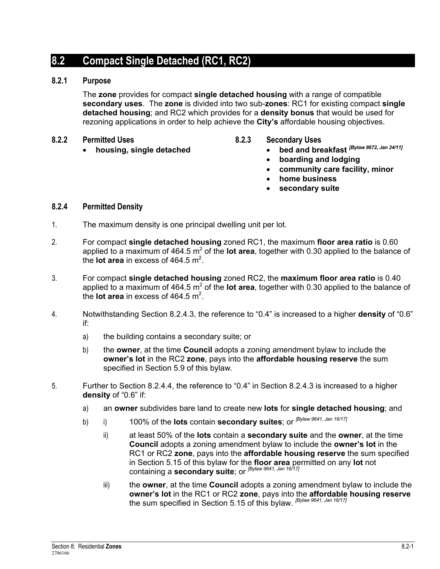# **8.2 Compact Single Detached (RC1, RC2)**

## **8.2.1 Purpose**

The **zone** provides for compact **single detached housing** with a range of compatible **secondary uses**. The **zone** is divided into two sub-**zones**: RC1 for existing compact **single detached housing**; and RC2 which provides for a **density bonus** that would be used for rezoning applications in order to help achieve the **City's** affordable housing objectives.

- **8.2.2 Permitted Uses** 
	- **housing, single detached**
- **8.2.3 Secondary Uses** 
	- **bed and breakfast** *[Bylaw 8672, Jan 24/11]*
	- **boarding and lodging**
	- **community care facility, minor**
	- **home business**
	- **secondary suite**

### **8.2.4 Permitted Density**

- 1. The maximum density is one principal dwelling unit per lot.
- 2. For compact **single detached housing** zoned RC1, the maximum **floor area ratio** is 0.60 applied to a maximum of 464.5 m<sup>2</sup> of the lot area, together with 0.30 applied to the balance of the **lot area** in excess of  $464.5 \text{ m}^2$ .
- 3. For compact **single detached housing** zoned RC2, the **maximum floor area ratio** is 0.40 applied to a maximum of 464.5 m<sup>2</sup> of the lot area, together with 0.30 applied to the balance of the **lot area** in excess of  $464.5 \text{ m}^2$ .
- 4. Notwithstanding Section 8.2.4.3, the reference to "0.4" is increased to a higher **density** of "0.6" if:
	- a) the building contains a secondary suite; or
	- b) the **owner**, at the time **Council** adopts a zoning amendment bylaw to include the **owner's lot** in the RC2 **zone**, pays into the **affordable housing reserve** the sum specified in Section 5.9 of this bylaw.
- 5. Further to Section 8.2.4.4, the reference to "0.4" in Section 8.2.4.3 is increased to a higher **density** of "0.6" if:
	- a) an **owner** subdivides bare land to create new **lots** for **single detached housing**; and
	- b) i) 100% of the **lots** contain **secondary suites**; or *[Bylaw 9641, Jan 16/17]*
		- ii) at least 50% of the **lots** contain a **secondary suite** and the **owner**, at the time **Council** adopts a zoning amendment bylaw to include the **owner's lot** in the RC1 or RC2 **zone**, pays into the **affordable housing reserve** the sum specified in Section 5.15 of this bylaw for the **floor area** permitted on any **lot** not containing a **secondary suite**; or *[Bylaw 9641, Jan 16/17]*
		- iii) the **owner**, at the time **Council** adopts a zoning amendment bylaw to include the **owner's lot** in the RC1 or RC2 **zone**, pays into the **affordable housing reserve** the sum specified in Section 5.15 of this bylaw. *[Bylaw 9641, Jan 16/17]*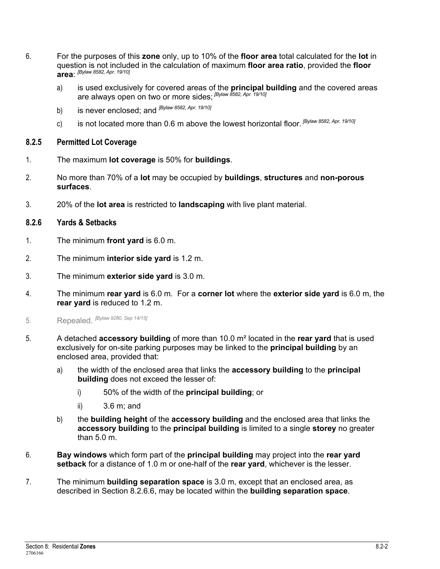- 6. For the purposes of this **zone** only, up to 10% of the **floor area** total calculated for the **lot** in question is not included in the calculation of maximum **floor area ratio**, provided the **floor area**: *[Bylaw 8582, Apr. 19/10]*
	- a) is used exclusively for covered areas of the **principal building** and the covered areas are always open on two or more sides; *[Bylaw 8582, Apr. 19/10]*
	- b) is never enclosed; and *[Bylaw 8582, Apr. 19/10]*
	- c) is not located more than 0.6 m above the lowest horizontal floor. *[Bylaw 8582, Apr. 19/10]*

#### **8.2.5 Permitted Lot Coverage**

- 1. The maximum **lot coverage** is 50% for **buildings**.
- 2. No more than 70% of a **lot** may be occupied by **buildings**, **structures** and **non-porous surfaces**.
- 3. 20% of the **lot area** is restricted to **landscaping** with live plant material.

### **8.2.6 Yards & Setbacks**

- 1. The minimum **front yard** is 6.0 m.
- 2. The minimum **interior side yard** is 1.2 m.
- 3. The minimum **exterior side yard** is 3.0 m.
- 4. The minimum **rear yard** is 6.0 m. For a **corner lot** where the **exterior side yard** is 6.0 m, the **rear yard** is reduced to 1.2 m.
- 5. Repealed. *[Bylaw 9280, Sep 14/15]*
- 5. A detached **accessory building** of more than 10.0 m² located in the **rear yard** that is used exclusively for on-site parking purposes may be linked to the **principal building** by an enclosed area, provided that:
	- a) the width of the enclosed area that links the **accessory building** to the **principal building** does not exceed the lesser of:
		- i) 50% of the width of the **principal building**; or
		- ii) 3.6 m; and
	- b) the **building height** of the **accessory building** and the enclosed area that links the **accessory building** to the **principal building** is limited to a single **storey** no greater than 5.0 m.
- 6. **Bay windows** which form part of the **principal building** may project into the **rear yard setback** for a distance of 1.0 m or one-half of the **rear yard**, whichever is the lesser.
- 7. The minimum **building separation space** is 3.0 m, except that an enclosed area, as described in Section 8.2.6.6, may be located within the **building separation space**.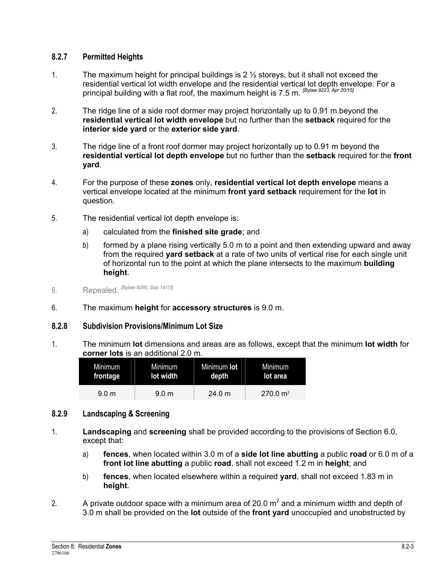# **8.2.7 Permitted Heights**

- 1. The maximum height for principal buildings is 2 ½ storeys, but it shall not exceed the residential vertical lot width envelope and the residential vertical lot depth envelope. For a principal building with a flat roof, the maximum height is 7.5 m. *[Bylaw 9223, Apr 20/15]*
- 2. The ridge line of a side roof dormer may project horizontally up to 0.91 m beyond the **residential vertical lot width envelope** but no further than the **setback** required for the **interior side yard** or the **exterior side yard**.
- 3. The ridge line of a front roof dormer may project horizontally up to 0.91 m beyond the **residential vertical lot depth envelope** but no further than the **setback** required for the **front yard**.
- 4. For the purpose of these **zones** only, **residential vertical lot depth envelope** means a vertical envelope located at the minimum **front yard setback** requirement for the **lot** in question.
- 5. The residential vertical lot depth envelope is:
	- a) calculated from the **finished site grade**; and
	- b) formed by a plane rising vertically 5.0 m to a point and then extending upward and away from the required **yard setback** at a rate of two units of vertical rise for each single unit of horizontal run to the point at which the plane intersects to the maximum **building height**.
- 6. Repealed. *[Bylaw 9280, Sep 14/15]*
- 6. The maximum **height** for **accessory structures** is 9.0 m.

# **8.2.8 Subdivision Provisions/Minimum Lot Size**

1. The minimum **lot** dimensions and areas are as follows, except that the minimum **lot width** for **corner lots** is an additional 2.0 m.

| Minimum          | Minimum          | Minimum lot | Minimum             |
|------------------|------------------|-------------|---------------------|
| frontage         | lot width        | depth       | lot area            |
| 9.0 <sub>m</sub> | 9.0 <sub>m</sub> | 24.0 m      | $270.0 \text{ m}^2$ |

### **8.2.9 Landscaping & Screening**

- 1. **Landscaping** and **screening** shall be provided according to the provisions of Section 6.0, except that:
	- a) **fences**, when located within 3.0 m of a **side lot line abutting** a public **road** or 6.0 m of a **front lot line abutting** a public **road**, shall not exceed 1.2 m in **height**; and
	- b) **fences**, when located elsewhere within a required **yard**, shall not exceed 1.83 m in **height**.
- 2. A private outdoor space with a minimum area of 20.0  $m^2$  and a minimum width and depth of 3.0 m shall be provided on the **lot** outside of the **front yard** unoccupied and unobstructed by